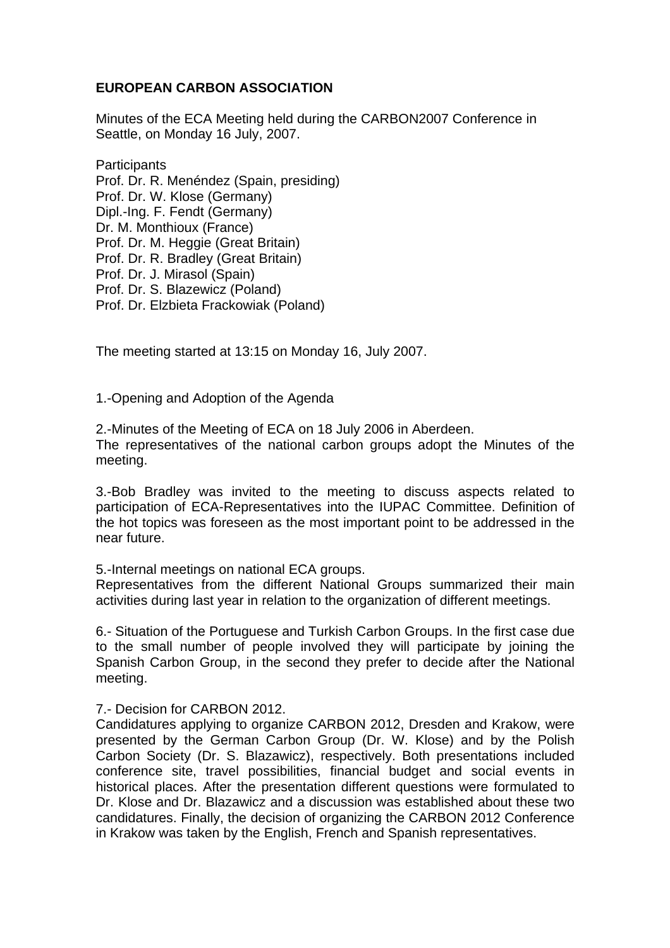## **EUROPEAN CARBON ASSOCIATION**

Minutes of the ECA Meeting held during the CARBON2007 Conference in Seattle, on Monday 16 July, 2007.

**Participants** Prof. Dr. R. Menéndez (Spain, presiding) Prof. Dr. W. Klose (Germany) Dipl.-Ing. F. Fendt (Germany) Dr. M. Monthioux (France) Prof. Dr. M. Heggie (Great Britain) Prof. Dr. R. Bradley (Great Britain) Prof. Dr. J. Mirasol (Spain) Prof. Dr. S. Blazewicz (Poland) Prof. Dr. Elzbieta Frackowiak (Poland)

The meeting started at 13:15 on Monday 16, July 2007.

1.-Opening and Adoption of the Agenda

2.-Minutes of the Meeting of ECA on 18 July 2006 in Aberdeen. The representatives of the national carbon groups adopt the Minutes of the meeting.

3.-Bob Bradley was invited to the meeting to discuss aspects related to participation of ECA-Representatives into the IUPAC Committee. Definition of the hot topics was foreseen as the most important point to be addressed in the near future.

5.-Internal meetings on national ECA groups.

Representatives from the different National Groups summarized their main activities during last year in relation to the organization of different meetings.

6.- Situation of the Portuguese and Turkish Carbon Groups. In the first case due to the small number of people involved they will participate by joining the Spanish Carbon Group, in the second they prefer to decide after the National meeting.

7.- Decision for CARBON 2012.

Candidatures applying to organize CARBON 2012, Dresden and Krakow, were presented by the German Carbon Group (Dr. W. Klose) and by the Polish Carbon Society (Dr. S. Blazawicz), respectively. Both presentations included conference site, travel possibilities, financial budget and social events in historical places. After the presentation different questions were formulated to Dr. Klose and Dr. Blazawicz and a discussion was established about these two candidatures. Finally, the decision of organizing the CARBON 2012 Conference in Krakow was taken by the English, French and Spanish representatives.